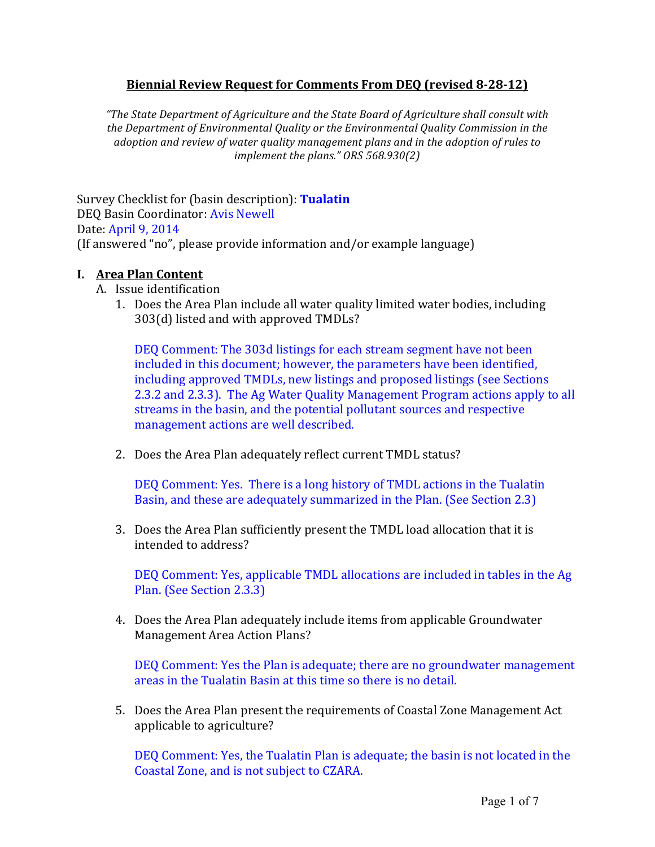## **Biennial'Review'Request'for'Comments'From'DEQ (revised'8;28;12)**

*"The%State%Department%of%Agriculture%and%the%State%Board%of%Agriculture%shall%consult%with%* the Department of Environmental Quality or the Environmental Quality Commission in the adoption and review of water quality management plans and in the adoption of rules to *implement the plans." ORS 568.930(2)* 

Survey Checklist for (basin description): **Tualatin** DEQ Basin Coordinator: Avis Newell Date: April 9, 2014 (If answered "no", please provide information and/or example language)

## **I. Area Plan Content**

- A. Issue identification
	- 1. Does the Area Plan include all water quality limited water bodies, including 303(d) listed and with approved TMDLs?

DEQ Comment: The 303d listings for each stream segment have not been included in this document; however, the parameters have been identified, including approved TMDLs, new listings and proposed listings (see Sections 2.3.2 and 2.3.3). The Ag Water Quality Management Program actions apply to all streams in the basin, and the potential pollutant sources and respective management actions are well described.

2. Does the Area Plan adequately reflect current TMDL status?

DEQ Comment: Yes. There is a long history of TMDL actions in the Tualatin Basin, and these are adequately summarized in the Plan. (See Section 2.3)

3. Does the Area Plan sufficiently present the TMDL load allocation that it is intended to address?

DEQ Comment: Yes, applicable TMDL allocations are included in tables in the Ag Plan. (See Section 2.3.3)

4. Does the Area Plan adequately include items from applicable Groundwater Management Area Action Plans?

DEQ Comment: Yes the Plan is adequate; there are no groundwater management areas in the Tualatin Basin at this time so there is no detail.

5. Does the Area Plan present the requirements of Coastal Zone Management Act applicable to agriculture?

DEQ Comment: Yes, the Tualatin Plan is adequate; the basin is not located in the Coastal Zone, and is not subject to CZARA.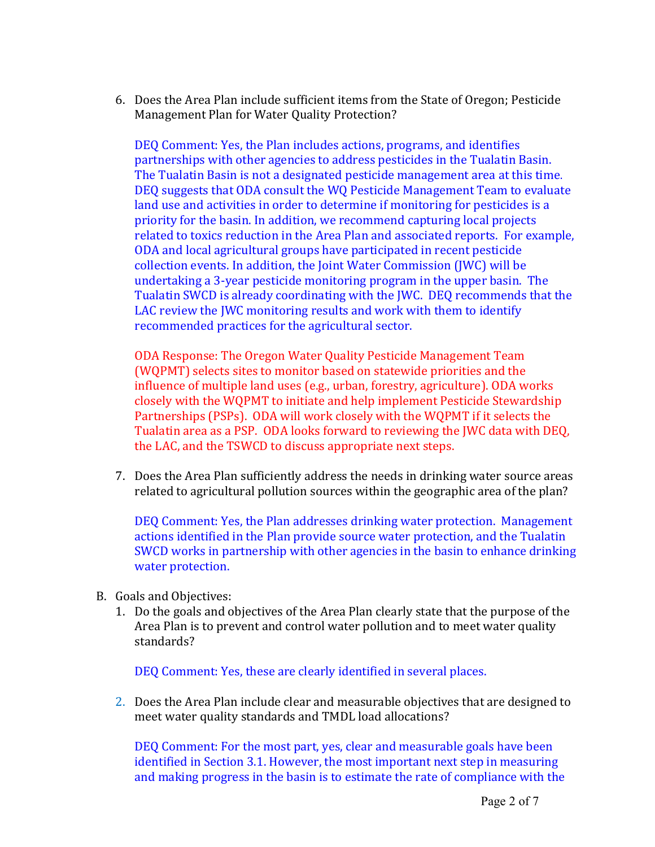6. Does the Area Plan include sufficient items from the State of Oregon; Pesticide Management Plan for Water Quality Protection?

DEQ Comment: Yes, the Plan includes actions, programs, and identifies partnerships with other agencies to address pesticides in the Tualatin Basin. The Tualatin Basin is not a designated pesticide management area at this time. DEQ suggests that ODA consult the WQ Pesticide Management Team to evaluate land use and activities in order to determine if monitoring for pesticides is a priority for the basin. In addition, we recommend capturing local projects related to toxics reduction in the Area Plan and associated reports. For example, ODA and local agricultural groups have participated in recent pesticide collection events. In addition, the Joint Water Commission (JWC) will be undertaking a 3-year pesticide monitoring program in the upper basin. The Tualatin SWCD is already coordinating with the IWC. DEO recommends that the LAC review the JWC monitoring results and work with them to identify recommended practices for the agricultural sector.

ODA Response: The Oregon Water Quality Pesticide Management Team (WQPMT) selects sites to monitor based on statewide priorities and the influence of multiple land uses (e.g., urban, forestry, agriculture). ODA works closely with the WQPMT to initiate and help implement Pesticide Stewardship Partnerships (PSPs). ODA will work closely with the WQPMT if it selects the Tualatin area as a PSP. ODA looks forward to reviewing the JWC data with DEO, the LAC, and the TSWCD to discuss appropriate next steps.

7. Does the Area Plan sufficiently address the needs in drinking water source areas related to agricultural pollution sources within the geographic area of the plan?

DEQ Comment: Yes, the Plan addresses drinking water protection. Management actions identified in the Plan provide source water protection, and the Tualatin SWCD works in partnership with other agencies in the basin to enhance drinking water protection.

- B. Goals and Objectives:
	- 1. Do the goals and objectives of the Area Plan clearly state that the purpose of the Area Plan is to prevent and control water pollution and to meet water quality standards?

DEQ Comment: Yes, these are clearly identified in several places.

2. Does the Area Plan include clear and measurable objectives that are designed to meet water quality standards and TMDL load allocations?

DEQ Comment: For the most part, yes, clear and measurable goals have been identified in Section 3.1. However, the most important next step in measuring and making progress in the basin is to estimate the rate of compliance with the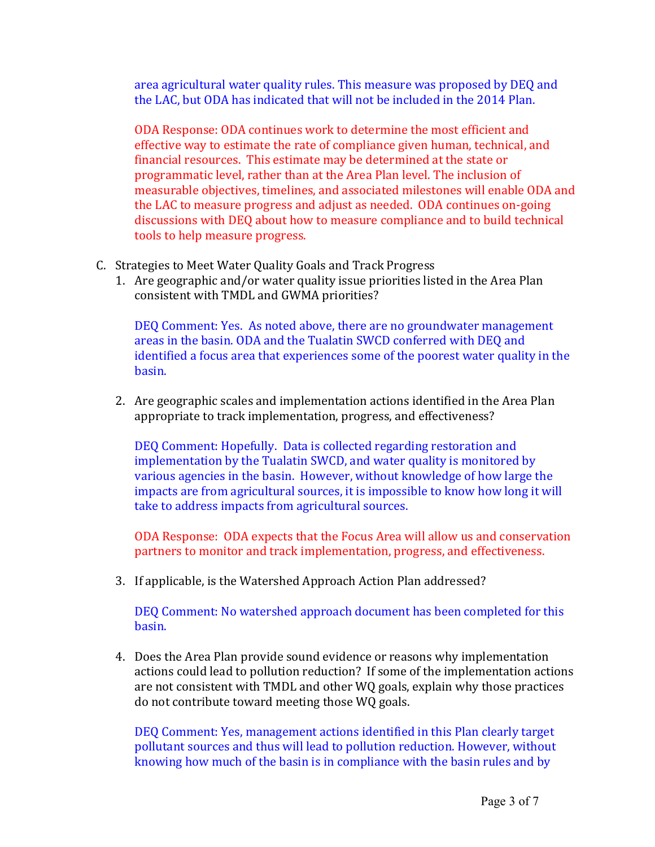area agricultural water quality rules. This measure was proposed by DEQ and the LAC, but ODA has indicated that will not be included in the 2014 Plan.

ODA Response: ODA continues work to determine the most efficient and effective way to estimate the rate of compliance given human, technical, and financial resources. This estimate may be determined at the state or programmatic level, rather than at the Area Plan level. The inclusion of measurable objectives, timelines, and associated milestones will enable ODA and the LAC to measure progress and adjust as needed. ODA continues on-going discussions with DEQ about how to measure compliance and to build technical tools to help measure progress.

- C. Strategies to Meet Water Quality Goals and Track Progress
	- 1. Are geographic and/or water quality issue priorities listed in the Area Plan consistent with TMDL and GWMA priorities?

DEQ Comment: Yes. As noted above, there are no groundwater management areas in the basin. ODA and the Tualatin SWCD conferred with DEQ and identified a focus area that experiences some of the poorest water quality in the basin.

2. Are geographic scales and implementation actions identified in the Area Plan appropriate to track implementation, progress, and effectiveness?

DEQ Comment: Hopefully. Data is collected regarding restoration and implementation by the Tualatin SWCD, and water quality is monitored by various agencies in the basin. However, without knowledge of how large the impacts are from agricultural sources, it is impossible to know how long it will take to address impacts from agricultural sources.

ODA Response: ODA expects that the Focus Area will allow us and conservation partners to monitor and track implementation, progress, and effectiveness.

3. If applicable, is the Watershed Approach Action Plan addressed?

DEQ Comment: No watershed approach document has been completed for this basin.

4. Does the Area Plan provide sound evidence or reasons why implementation actions could lead to pollution reduction? If some of the implementation actions are not consistent with TMDL and other WQ goals, explain why those practices do not contribute toward meeting those WQ goals.

DEQ Comment: Yes, management actions identified in this Plan clearly target pollutant sources and thus will lead to pollution reduction. However, without knowing how much of the basin is in compliance with the basin rules and by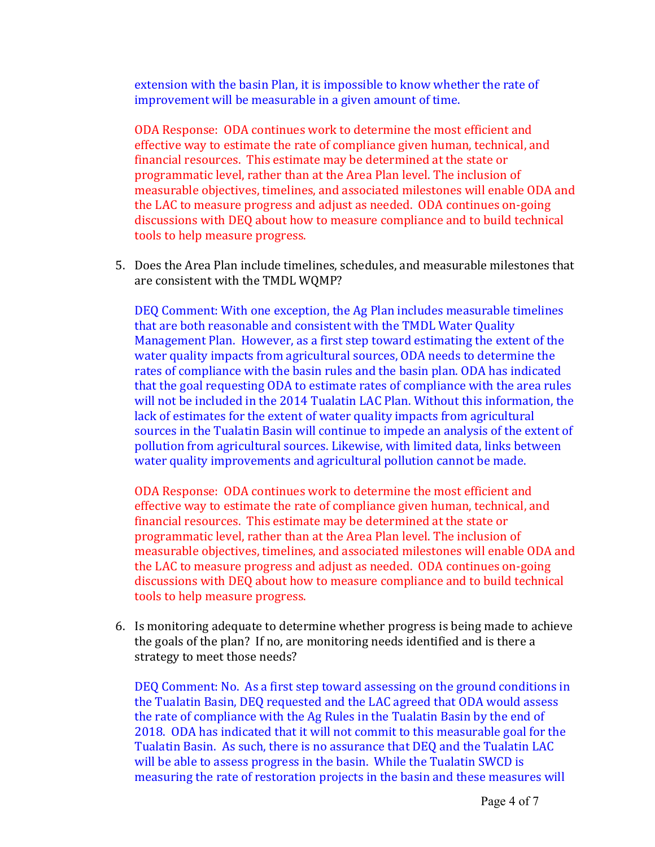extension with the basin Plan, it is impossible to know whether the rate of improvement will be measurable in a given amount of time.

ODA Response: ODA continues work to determine the most efficient and effective way to estimate the rate of compliance given human, technical, and financial resources. This estimate may be determined at the state or programmatic level, rather than at the Area Plan level. The inclusion of measurable objectives, timelines, and associated milestones will enable ODA and the LAC to measure progress and adjust as needed. ODA continues on-going discussions with DEQ about how to measure compliance and to build technical tools to help measure progress.

5. Does the Area Plan include timelines, schedules, and measurable milestones that are consistent with the TMDL WQMP?

DEQ Comment: With one exception, the Ag Plan includes measurable timelines that are both reasonable and consistent with the TMDL Water Quality Management Plan. However, as a first step toward estimating the extent of the water quality impacts from agricultural sources, ODA needs to determine the rates of compliance with the basin rules and the basin plan. ODA has indicated that the goal requesting ODA to estimate rates of compliance with the area rules will not be included in the 2014 Tualatin LAC Plan. Without this information, the lack of estimates for the extent of water quality impacts from agricultural sources in the Tualatin Basin will continue to impede an analysis of the extent of pollution from agricultural sources. Likewise, with limited data, links between water quality improvements and agricultural pollution cannot be made.

ODA Response: ODA continues work to determine the most efficient and effective way to estimate the rate of compliance given human, technical, and financial resources. This estimate may be determined at the state or programmatic level, rather than at the Area Plan level. The inclusion of measurable objectives, timelines, and associated milestones will enable ODA and the LAC to measure progress and adjust as needed. ODA continues on-going discussions with DEQ about how to measure compliance and to build technical tools to help measure progress.

6. Is monitoring adequate to determine whether progress is being made to achieve the goals of the plan? If no, are monitoring needs identified and is there a strategy to meet those needs?

DEQ Comment: No. As a first step toward assessing on the ground conditions in the Tualatin Basin, DEQ requested and the LAC agreed that ODA would assess the rate of compliance with the Ag Rules in the Tualatin Basin by the end of 2018. ODA has indicated that it will not commit to this measurable goal for the Tualatin Basin. As such, there is no assurance that DEQ and the Tualatin LAC will be able to assess progress in the basin. While the Tualatin SWCD is measuring the rate of restoration projects in the basin and these measures will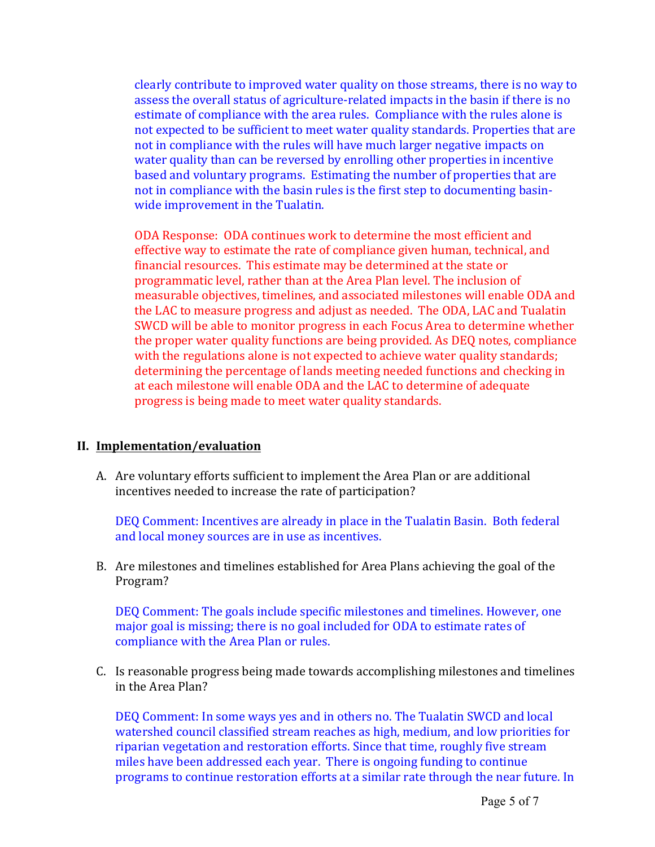clearly contribute to improved water quality on those streams, there is no way to assess the overall status of agriculture-related impacts in the basin if there is no estimate of compliance with the area rules. Compliance with the rules alone is not expected to be sufficient to meet water quality standards. Properties that are not in compliance with the rules will have much larger negative impacts on water quality than can be reversed by enrolling other properties in incentive based and voluntary programs. Estimating the number of properties that are not in compliance with the basin rules is the first step to documenting basinwide improvement in the Tualatin.

ODA Response: ODA continues work to determine the most efficient and effective way to estimate the rate of compliance given human, technical, and financial resources. This estimate may be determined at the state or programmatic level, rather than at the Area Plan level. The inclusion of measurable objectives, timelines, and associated milestones will enable ODA and the LAC to measure progress and adjust as needed. The ODA, LAC and Tualatin SWCD will be able to monitor progress in each Focus Area to determine whether the proper water quality functions are being provided. As DEQ notes, compliance with the regulations alone is not expected to achieve water quality standards; determining the percentage of lands meeting needed functions and checking in at each milestone will enable ODA and the LAC to determine of adequate progress is being made to meet water quality standards.

## **II. Implementation/evaluation**

A. Are voluntary efforts sufficient to implement the Area Plan or are additional incentives needed to increase the rate of participation?

DEQ Comment: Incentives are already in place in the Tualatin Basin. Both federal and local money sources are in use as incentives.

B. Are milestones and timelines established for Area Plans achieving the goal of the Program?

DEQ Comment: The goals include specific milestones and timelines. However, one major goal is missing; there is no goal included for ODA to estimate rates of compliance with the Area Plan or rules.

C. Is reasonable progress being made towards accomplishing milestones and timelines in the Area Plan?

DEQ Comment: In some ways yes and in others no. The Tualatin SWCD and local watershed council classified stream reaches as high, medium, and low priorities for riparian vegetation and restoration efforts. Since that time, roughly five stream miles have been addressed each year. There is ongoing funding to continue programs to continue restoration efforts at a similar rate through the near future. In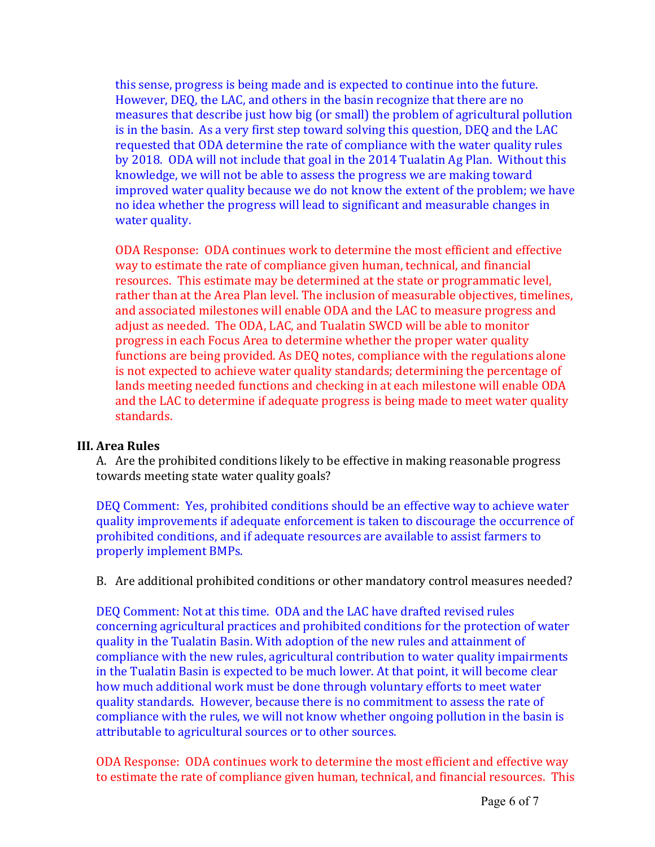this sense, progress is being made and is expected to continue into the future. However, DEQ, the LAC, and others in the basin recognize that there are no measures that describe just how big (or small) the problem of agricultural pollution is in the basin. As a very first step toward solving this question, DEQ and the LAC requested that ODA determine the rate of compliance with the water quality rules by 2018. ODA will not include that goal in the 2014 Tualatin Ag Plan. Without this knowledge, we will not be able to assess the progress we are making toward improved water quality because we do not know the extent of the problem; we have no idea whether the progress will lead to significant and measurable changes in water quality.

ODA Response: ODA continues work to determine the most efficient and effective way to estimate the rate of compliance given human, technical, and financial resources. This estimate may be determined at the state or programmatic level, rather than at the Area Plan level. The inclusion of measurable objectives, timelines, and associated milestones will enable ODA and the LAC to measure progress and adjust as needed. The ODA, LAC, and Tualatin SWCD will be able to monitor progress in each Focus Area to determine whether the proper water quality functions are being provided. As DEQ notes, compliance with the regulations alone is not expected to achieve water quality standards; determining the percentage of lands meeting needed functions and checking in at each milestone will enable ODA and the LAC to determine if adequate progress is being made to meet water quality standards.

## **III.** Area Rules

A. Are the prohibited conditions likely to be effective in making reasonable progress towards meeting state water quality goals?

DEQ Comment: Yes, prohibited conditions should be an effective way to achieve water quality improvements if adequate enforcement is taken to discourage the occurrence of prohibited conditions, and if adequate resources are available to assist farmers to properly implement BMPs.

B. Are additional prohibited conditions or other mandatory control measures needed?

DEQ Comment: Not at this time. ODA and the LAC have drafted revised rules concerning agricultural practices and prohibited conditions for the protection of water quality in the Tualatin Basin. With adoption of the new rules and attainment of compliance with the new rules, agricultural contribution to water quality impairments in the Tualatin Basin is expected to be much lower. At that point, it will become clear how much additional work must be done through voluntary efforts to meet water quality standards. However, because there is no commitment to assess the rate of compliance with the rules, we will not know whether ongoing pollution in the basin is attributable to agricultural sources or to other sources.

ODA Response: ODA continues work to determine the most efficient and effective way to estimate the rate of compliance given human, technical, and financial resources. This